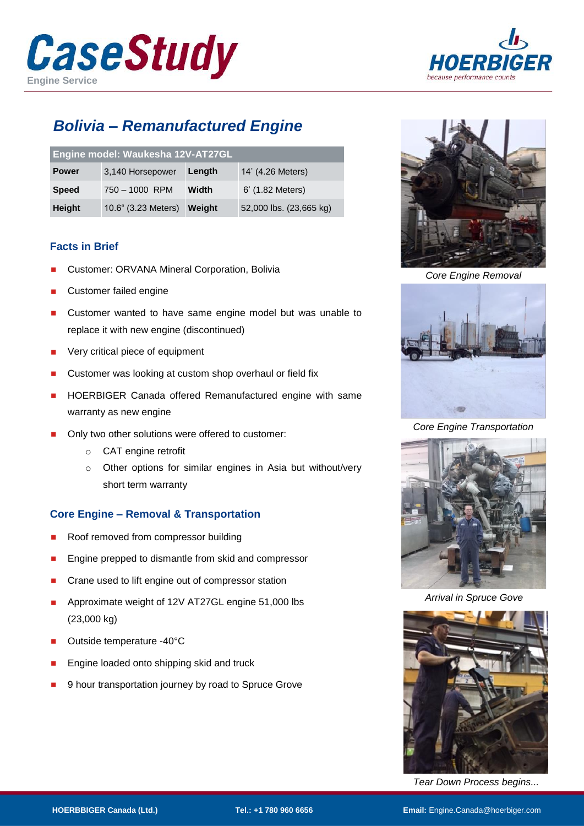



# *Bolivia – Remanufactured Engine*

| Engine model: Waukesha 12V-AT27GL |                     |        |                         |
|-----------------------------------|---------------------|--------|-------------------------|
| <b>Power</b>                      | 3,140 Horsepower    | Length | 14' (4.26 Meters)       |
| <b>Speed</b>                      | 750 - 1000 RPM      | Width  | 6' (1.82 Meters)        |
| <b>Height</b>                     | 10.6" (3.23 Meters) | Weight | 52,000 lbs. (23,665 kg) |

### **Facts in Brief**

- Customer: ORVANA Mineral Corporation, Bolivia
- Customer failed engine
- Customer wanted to have same engine model but was unable to replace it with new engine (discontinued)
- Very critical piece of equipment
- Customer was looking at custom shop overhaul or field fix
- HOERBIGER Canada offered Remanufactured engine with same warranty as new engine
- Only two other solutions were offered to customer:
	- o CAT engine retrofit
	- o Other options for similar engines in Asia but without/very short term warranty

# **Core Engine – Removal & Transportation**

- Roof removed from compressor building
- Engine prepped to dismantle from skid and compressor
- Crane used to lift engine out of compressor station
- Approximate weight of 12V AT27GL engine 51,000 lbs (23,000 kg)
- Outside temperature -40°C
- Engine loaded onto shipping skid and truck
- 9 hour transportation journey by road to Spruce Grove



*Core Engine Removal*





*Core Engine Transportation*



*Arrival in Spruce Gove*



*Tear Down Process begins...*